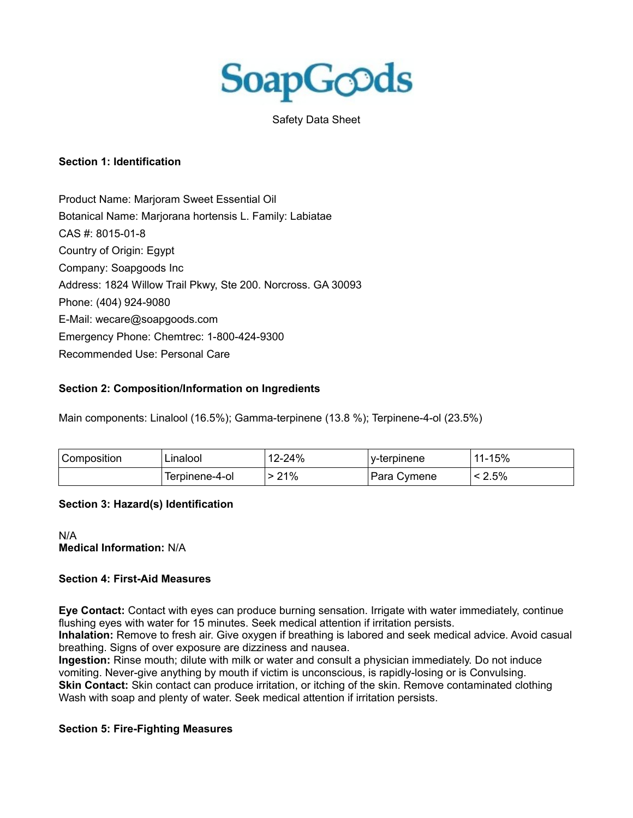

Safety Data Sheet

# **Section 1: Identification**

Product Name: Marjoram Sweet Essential Oil Botanical Name: Marjorana hortensis L. Family: Labiatae CAS #: 8015-01-8 Country of Origin: Egypt Company: Soapgoods Inc Address: 1824 Willow Trail Pkwy, Ste 200. Norcross. GA 30093 Phone: (404) 924-9080 E-Mail: wecare@soapgoods.com Emergency Phone: Chemtrec: 1-800-424-9300 Recommended Use: Personal Care

# **Section 2: Composition/Information on Ingredients**

Main components: Linalool (16.5%); Gamma-terpinene (13.8 %); Terpinene-4-ol (23.5%)

| <sup>l</sup> Composition | ∟inalool       | 12-24% | ' v-terpinene | 11-15% |
|--------------------------|----------------|--------|---------------|--------|
|                          | Terpinene-4-ol | 21%    | Para Cymene   | 2.5%   |

#### **Section 3: Hazard(s) Identification**

### N/A **Medical Information:** N/A

#### **Section 4: First-Aid Measures**

**Eye Contact:** Contact with eyes can produce burning sensation. Irrigate with water immediately, continue flushing eyes with water for 15 minutes. Seek medical attention if irritation persists.

**Inhalation:** Remove to fresh air. Give oxygen if breathing is labored and seek medical advice. Avoid casual breathing. Signs of over exposure are dizziness and nausea.

**Ingestion:** Rinse mouth; dilute with milk or water and consult a physician immediately. Do not induce vomiting. Never-give anything by mouth if victim is unconscious, is rapidly-losing or is Convulsing. **Skin Contact:** Skin contact can produce irritation, or itching of the skin. Remove contaminated clothing Wash with soap and plenty of water. Seek medical attention if irritation persists.

#### **Section 5: Fire-Fighting Measures**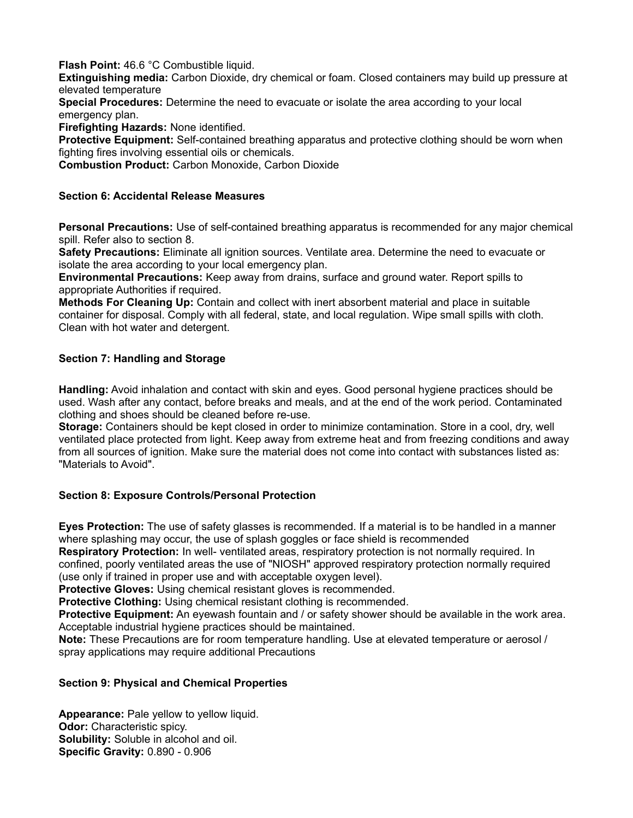**Flash Point:** 46.6 °C Combustible liquid.

**Extinguishing media:** Carbon Dioxide, dry chemical or foam. Closed containers may build up pressure at elevated temperature

**Special Procedures:** Determine the need to evacuate or isolate the area according to your local emergency plan.

**Firefighting Hazards:** None identified.

**Protective Equipment:** Self-contained breathing apparatus and protective clothing should be worn when fighting fires involving essential oils or chemicals.

**Combustion Product:** Carbon Monoxide, Carbon Dioxide

# **Section 6: Accidental Release Measures**

**Personal Precautions:** Use of self-contained breathing apparatus is recommended for any major chemical spill. Refer also to section 8.

**Safety Precautions:** Eliminate all ignition sources. Ventilate area. Determine the need to evacuate or isolate the area according to your local emergency plan.

**Environmental Precautions:** Keep away from drains, surface and ground water. Report spills to appropriate Authorities if required.

**Methods For Cleaning Up:** Contain and collect with inert absorbent material and place in suitable container for disposal. Comply with all federal, state, and local regulation. Wipe small spills with cloth. Clean with hot water and detergent.

# **Section 7: Handling and Storage**

**Handling:** Avoid inhalation and contact with skin and eyes. Good personal hygiene practices should be used. Wash after any contact, before breaks and meals, and at the end of the work period. Contaminated clothing and shoes should be cleaned before re-use.

**Storage:** Containers should be kept closed in order to minimize contamination. Store in a cool, dry, well ventilated place protected from light. Keep away from extreme heat and from freezing conditions and away from all sources of ignition. Make sure the material does not come into contact with substances listed as: "Materials to Avoid".

# **Section 8: Exposure Controls/Personal Protection**

**Eyes Protection:** The use of safety glasses is recommended. If a material is to be handled in a manner where splashing may occur, the use of splash goggles or face shield is recommended

**Respiratory Protection:** In well- ventilated areas, respiratory protection is not normally required. In confined, poorly ventilated areas the use of "NIOSH" approved respiratory protection normally required (use only if trained in proper use and with acceptable oxygen level).

**Protective Gloves:** Using chemical resistant gloves is recommended.

**Protective Clothing:** Using chemical resistant clothing is recommended.

**Protective Equipment:** An eyewash fountain and / or safety shower should be available in the work area. Acceptable industrial hygiene practices should be maintained.

**Note:** These Precautions are for room temperature handling. Use at elevated temperature or aerosol / spray applications may require additional Precautions

# **Section 9: Physical and Chemical Properties**

**Appearance:** Pale yellow to yellow liquid. **Odor:** Characteristic spicy. **Solubility:** Soluble in alcohol and oil. **Specific Gravity:** 0.890 - 0.906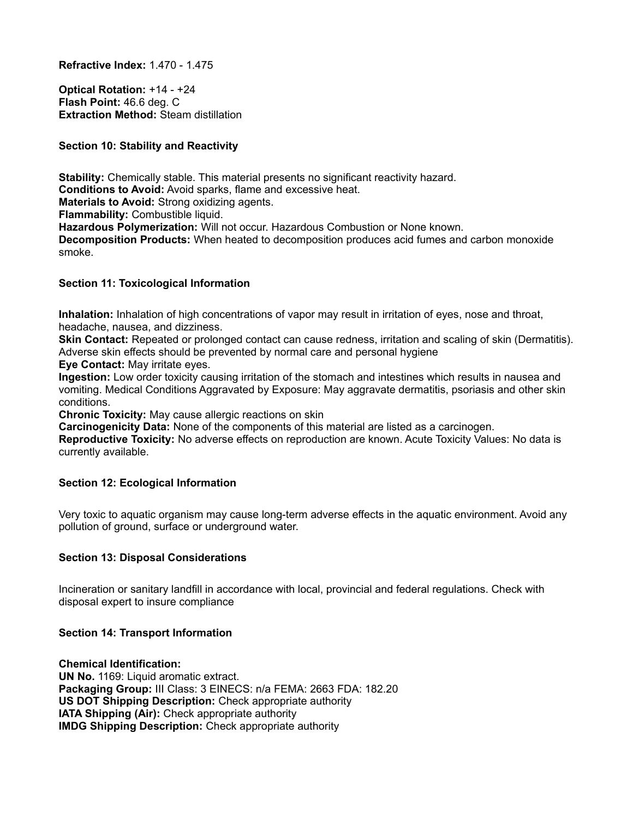**Refractive Index:** 1.470 - 1.475

**Optical Rotation:** +14 - +24 **Flash Point:** 46.6 deg. C **Extraction Method:** Steam distillation

**Section 10: Stability and Reactivity**

**Stability:** Chemically stable. This material presents no significant reactivity hazard. **Conditions to Avoid:** Avoid sparks, flame and excessive heat. **Materials to Avoid:** Strong oxidizing agents. **Flammability:** Combustible liquid. **Hazardous Polymerization:** Will not occur. Hazardous Combustion or None known. **Decomposition Products:** When heated to decomposition produces acid fumes and carbon monoxide smoke.

# **Section 11: Toxicological Information**

**Inhalation:** Inhalation of high concentrations of vapor may result in irritation of eyes, nose and throat, headache, nausea, and dizziness.

**Skin Contact:** Repeated or prolonged contact can cause redness, irritation and scaling of skin (Dermatitis). Adverse skin effects should be prevented by normal care and personal hygiene

**Eye Contact:** May irritate eyes.

**Ingestion:** Low order toxicity causing irritation of the stomach and intestines which results in nausea and vomiting. Medical Conditions Aggravated by Exposure: May aggravate dermatitis, psoriasis and other skin conditions.

**Chronic Toxicity:** May cause allergic reactions on skin

**Carcinogenicity Data:** None of the components of this material are listed as a carcinogen.

**Reproductive Toxicity:** No adverse effects on reproduction are known. Acute Toxicity Values: No data is currently available.

# **Section 12: Ecological Information**

Very toxic to aquatic organism may cause long-term adverse effects in the aquatic environment. Avoid any pollution of ground, surface or underground water.

# **Section 13: Disposal Considerations**

Incineration or sanitary landfill in accordance with local, provincial and federal regulations. Check with disposal expert to insure compliance

# **Section 14: Transport Information**

**Chemical Identification: UN No.** 1169: Liquid aromatic extract. **Packaging Group:** III Class: 3 EINECS: n/a FEMA: 2663 FDA: 182.20 **US DOT Shipping Description:** Check appropriate authority **IATA Shipping (Air):** Check appropriate authority **IMDG Shipping Description:** Check appropriate authority